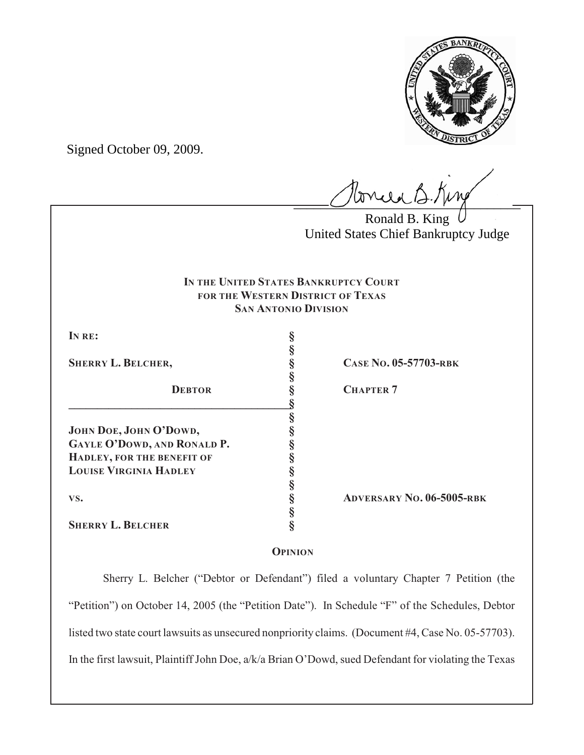

Signed October 09, 2009.

 $l$ onie B.Kin

Ronald B. King United States Chief Bankruptcy Judge

# **IN THE UNITED STATES BANKRUPTCY COURT FOR THE WESTERN DISTRICT OF TEXAS SAN ANTONIO DIVISION**

**§**

**§**

**§**

**§**

**IN RE: §**

**DEBTOR § CHAPTER 7 \_\_\_\_\_\_\_\_\_\_\_\_\_\_\_\_\_\_\_\_\_\_\_\_\_\_\_\_\_\_\_\_\_\_\_\_\_\_\_§ JOHN DOE, JOHN O'DOWD, § GAYLE O'DOWD, AND RONALD P. § HADLEY, FOR THE BENEFIT OF § LOUISE VIRGINIA HADLEY § VS. § ADVERSARY NO. 06-5005-RBK SHERRY L. BELCHER §**

**SHERRY L. BELCHER, § CASE NO. 05-57703-RBK**

# **OPINION**

**§**

Sherry L. Belcher ("Debtor or Defendant") filed a voluntary Chapter 7 Petition (the "Petition") on October 14, 2005 (the "Petition Date"). In Schedule "F" of the Schedules, Debtor listed two state court lawsuits as unsecured nonpriority claims. (Document #4, Case No. 05-57703). In the first lawsuit, Plaintiff John Doe, a/k/a Brian O'Dowd, sued Defendant for violating the Texas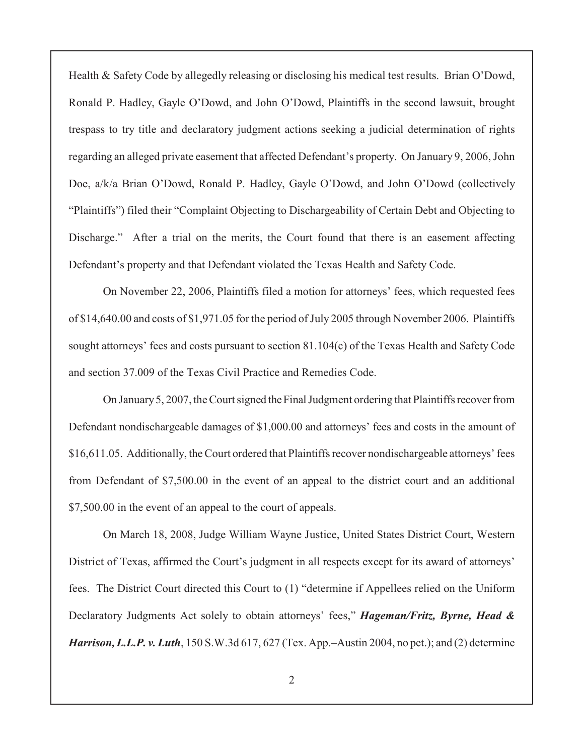Health & Safety Code by allegedly releasing or disclosing his medical test results. Brian O'Dowd, Ronald P. Hadley, Gayle O'Dowd, and John O'Dowd, Plaintiffs in the second lawsuit, brought trespass to try title and declaratory judgment actions seeking a judicial determination of rights regarding an alleged private easement that affected Defendant's property. On January 9, 2006, John Doe, a/k/a Brian O'Dowd, Ronald P. Hadley, Gayle O'Dowd, and John O'Dowd (collectively "Plaintiffs") filed their "Complaint Objecting to Dischargeability of Certain Debt and Objecting to Discharge." After a trial on the merits, the Court found that there is an easement affecting Defendant's property and that Defendant violated the Texas Health and Safety Code.

On November 22, 2006, Plaintiffs filed a motion for attorneys' fees, which requested fees of \$14,640.00 and costs of \$1,971.05 for the period of July 2005 through November 2006. Plaintiffs sought attorneys' fees and costs pursuant to section 81.104(c) of the Texas Health and Safety Code and section 37.009 of the Texas Civil Practice and Remedies Code.

On January 5, 2007, the Court signed the Final Judgment ordering that Plaintiffs recover from Defendant nondischargeable damages of \$1,000.00 and attorneys' fees and costs in the amount of \$16,611.05. Additionally, the Court ordered that Plaintiffs recover nondischargeable attorneys' fees from Defendant of \$7,500.00 in the event of an appeal to the district court and an additional \$7,500.00 in the event of an appeal to the court of appeals.

On March 18, 2008, Judge William Wayne Justice, United States District Court, Western District of Texas, affirmed the Court's judgment in all respects except for its award of attorneys' fees. The District Court directed this Court to (1) "determine if Appellees relied on the Uniform Declaratory Judgments Act solely to obtain attorneys' fees," *Hageman/Fritz, Byrne, Head & Harrison, L.L.P. v. Luth*, 150 S.W.3d 617, 627 (Tex. App.–Austin 2004, no pet.); and (2) determine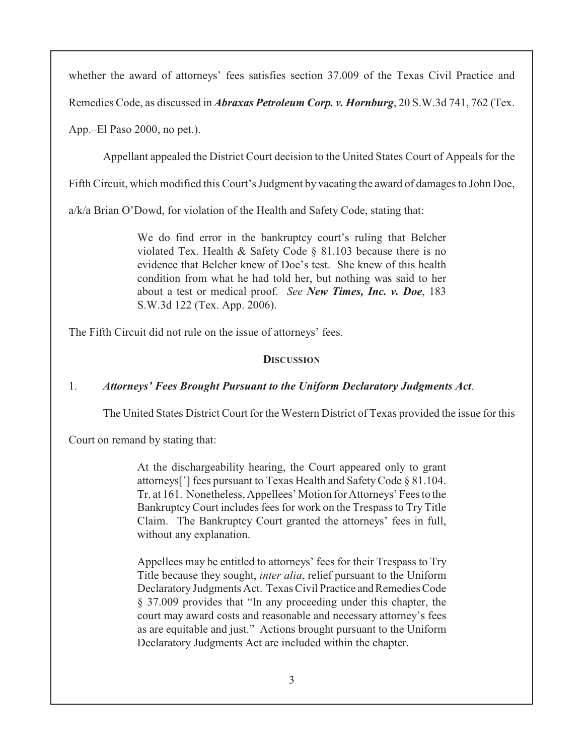whether the award of attorneys' fees satisfies section 37.009 of the Texas Civil Practice and

Remedies Code, as discussed in *Abraxas Petroleum Corp. v. Hornburg*, 20 S.W.3d 741, 762 (Tex.

App.–El Paso 2000, no pet.).

Appellant appealed the District Court decision to the United States Court of Appeals for the

Fifth Circuit, which modified this Court's Judgment by vacating the award of damages to John Doe,

a/k/a Brian O'Dowd, for violation of the Health and Safety Code, stating that:

We do find error in the bankruptcy court's ruling that Belcher violated Tex. Health & Safety Code § 81.103 because there is no evidence that Belcher knew of Doe's test. She knew of this health condition from what he had told her, but nothing was said to her about a test or medical proof. *See New Times, Inc. v. Doe*, 183 S.W.3d 122 (Tex. App. 2006).

The Fifth Circuit did not rule on the issue of attorneys' fees.

#### **DISCUSSION**

#### 1. *Attorneys' Fees Brought Pursuant to the Uniform Declaratory Judgments Act*.

The United States District Court for the Western District of Texas provided the issue for this

Court on remand by stating that:

At the dischargeability hearing, the Court appeared only to grant attorneys['] fees pursuant to Texas Health and Safety Code § 81.104. Tr. at 161. Nonetheless, Appellees' Motion for Attorneys' Fees to the Bankruptcy Court includes fees for work on the Trespass to Try Title Claim. The Bankruptcy Court granted the attorneys' fees in full, without any explanation.

Appellees may be entitled to attorneys' fees for their Trespass to Try Title because they sought, *inter alia*, relief pursuant to the Uniform Declaratory Judgments Act. Texas Civil Practice and Remedies Code § 37.009 provides that "In any proceeding under this chapter, the court may award costs and reasonable and necessary attorney's fees as are equitable and just." Actions brought pursuant to the Uniform Declaratory Judgments Act are included within the chapter.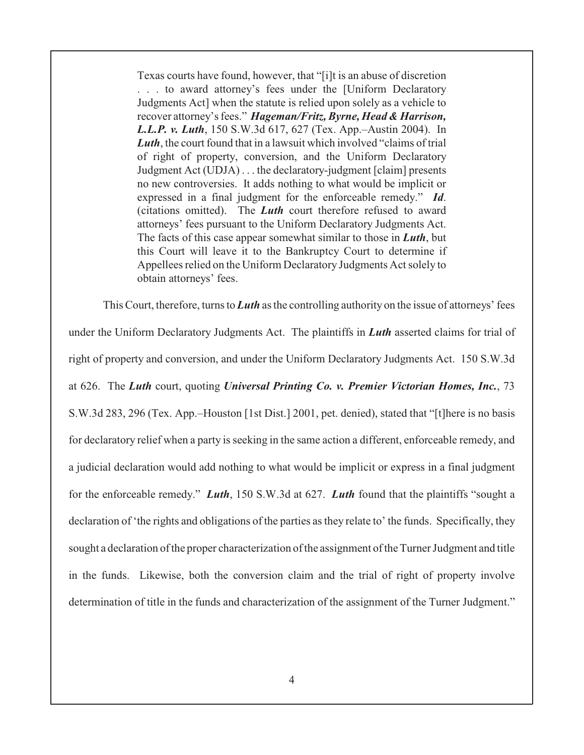Texas courts have found, however, that "[i]t is an abuse of discretion . . . to award attorney's fees under the [Uniform Declaratory Judgments Act] when the statute is relied upon solely as a vehicle to recover attorney's fees." *Hageman/Fritz, Byrne, Head & Harrison, L.L.P. v. Luth*, 150 S.W.3d 617, 627 (Tex. App.–Austin 2004). In *Luth*, the court found that in a lawsuit which involved "claims of trial" of right of property, conversion, and the Uniform Declaratory Judgment Act (UDJA) . . . the declaratory-judgment [claim] presents no new controversies. It adds nothing to what would be implicit or expressed in a final judgment for the enforceable remedy." *Id*. (citations omitted). The *Luth* court therefore refused to award attorneys' fees pursuant to the Uniform Declaratory Judgments Act. The facts of this case appear somewhat similar to those in *Luth*, but this Court will leave it to the Bankruptcy Court to determine if Appellees relied on the Uniform Declaratory Judgments Act solely to obtain attorneys' fees.

This Court, therefore, turns to *Luth* as the controlling authority on the issue of attorneys' fees under the Uniform Declaratory Judgments Act. The plaintiffs in *Luth* asserted claims for trial of right of property and conversion, and under the Uniform Declaratory Judgments Act. 150 S.W.3d at 626. The *Luth* court, quoting *Universal Printing Co. v. Premier Victorian Homes, Inc.*, 73 S.W.3d 283, 296 (Tex. App.–Houston [1st Dist.] 2001, pet. denied), stated that "[t]here is no basis for declaratory relief when a party is seeking in the same action a different, enforceable remedy, and a judicial declaration would add nothing to what would be implicit or express in a final judgment for the enforceable remedy." *Luth*, 150 S.W.3d at 627. *Luth* found that the plaintiffs "sought a declaration of 'the rights and obligations of the parties as they relate to' the funds. Specifically, they sought a declaration of the proper characterization of the assignment of the Turner Judgment and title in the funds. Likewise, both the conversion claim and the trial of right of property involve determination of title in the funds and characterization of the assignment of the Turner Judgment."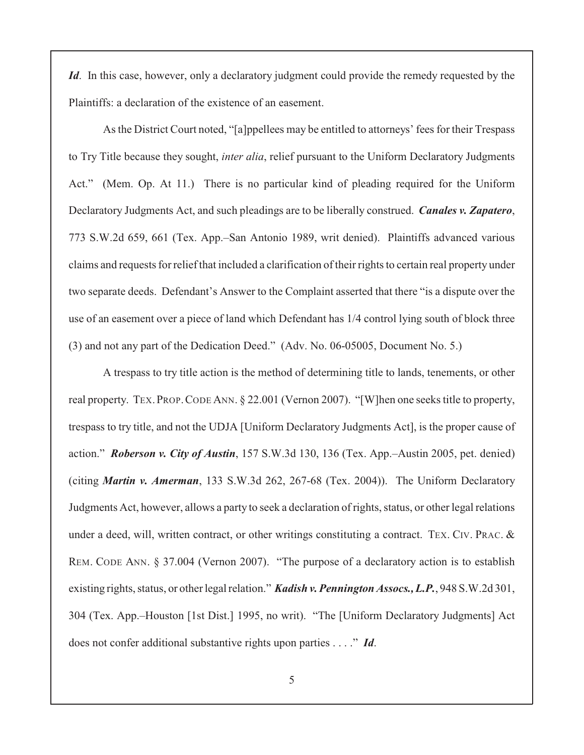*Id*. In this case, however, only a declaratory judgment could provide the remedy requested by the Plaintiffs: a declaration of the existence of an easement.

As the District Court noted, "[a]ppellees may be entitled to attorneys' fees for their Trespass to Try Title because they sought, *inter alia*, relief pursuant to the Uniform Declaratory Judgments Act." (Mem. Op. At 11.) There is no particular kind of pleading required for the Uniform Declaratory Judgments Act, and such pleadings are to be liberally construed. *Canales v. Zapatero*, 773 S.W.2d 659, 661 (Tex. App.–San Antonio 1989, writ denied). Plaintiffs advanced various claims and requests for reliefthat included a clarification of their rights to certain real property under two separate deeds. Defendant's Answer to the Complaint asserted that there "is a dispute over the use of an easement over a piece of land which Defendant has 1/4 control lying south of block three (3) and not any part of the Dedication Deed." (Adv. No. 06-05005, Document No. 5.)

A trespass to try title action is the method of determining title to lands, tenements, or other real property. TEX.PROP.CODE ANN. § 22.001 (Vernon 2007). "[W]hen one seeks title to property, trespass to try title, and not the UDJA [Uniform Declaratory Judgments Act], is the proper cause of action." *Roberson v. City of Austin*, 157 S.W.3d 130, 136 (Tex. App.–Austin 2005, pet. denied) (citing *Martin v. Amerman*, 133 S.W.3d 262, 267-68 (Tex. 2004)). The Uniform Declaratory Judgments Act, however, allows a party to seek a declaration of rights, status, or other legal relations under a deed, will, written contract, or other writings constituting a contract. TEX. CIV. PRAC. & REM. CODE ANN. § 37.004 (Vernon 2007). "The purpose of a declaratory action is to establish existing rights, status, or other legal relation." *Kadish v. Pennington Assocs., L.P.*, 948 S.W.2d 301, 304 (Tex. App.–Houston [1st Dist.] 1995, no writ). "The [Uniform Declaratory Judgments] Act does not confer additional substantive rights upon parties . . . ." *Id*.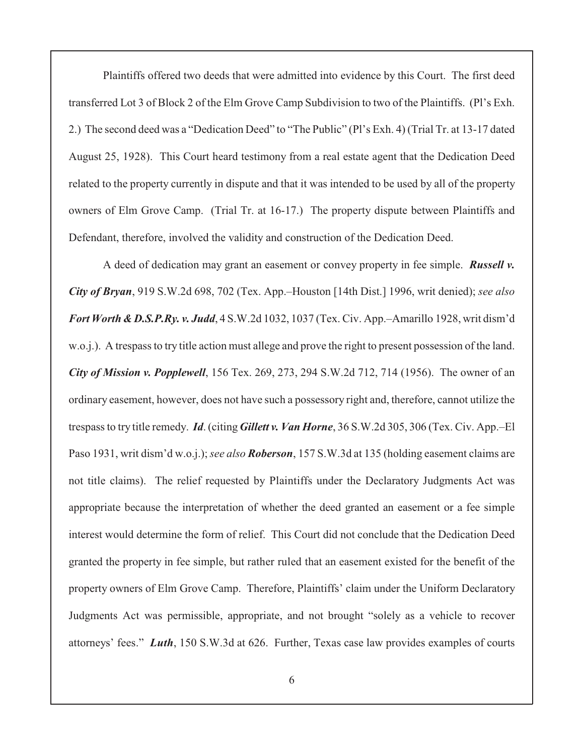Plaintiffs offered two deeds that were admitted into evidence by this Court. The first deed transferred Lot 3 of Block 2 of the Elm Grove Camp Subdivision to two of the Plaintiffs. (Pl's Exh. 2.) The second deed was a "Dedication Deed" to "The Public" (Pl's Exh. 4) (Trial Tr. at 13-17 dated August 25, 1928). This Court heard testimony from a real estate agent that the Dedication Deed related to the property currently in dispute and that it was intended to be used by all of the property owners of Elm Grove Camp. (Trial Tr. at 16-17.) The property dispute between Plaintiffs and Defendant, therefore, involved the validity and construction of the Dedication Deed.

A deed of dedication may grant an easement or convey property in fee simple. *Russell v. City of Bryan*, 919 S.W.2d 698, 702 (Tex. App.–Houston [14th Dist.] 1996, writ denied); *see also Fort Worth & D.S.P.Ry. v. Judd*, 4 S.W.2d 1032, 1037 (Tex. Civ. App.–Amarillo 1928, writ dism'd w.o.j.). A trespass to try title action must allege and prove the right to present possession of the land. *City of Mission v. Popplewell*, 156 Tex. 269, 273, 294 S.W.2d 712, 714 (1956). The owner of an ordinary easement, however, does not have such a possessory right and, therefore, cannot utilize the trespass to try title remedy. *Id*. (citing *Gillett v. Van Horne*, 36 S.W.2d 305, 306 (Tex. Civ. App.–El Paso 1931, writ dism'd w.o.j.);*see also Roberson*, 157 S.W.3d at 135 (holding easement claims are not title claims). The relief requested by Plaintiffs under the Declaratory Judgments Act was appropriate because the interpretation of whether the deed granted an easement or a fee simple interest would determine the form of relief. This Court did not conclude that the Dedication Deed granted the property in fee simple, but rather ruled that an easement existed for the benefit of the property owners of Elm Grove Camp. Therefore, Plaintiffs' claim under the Uniform Declaratory Judgments Act was permissible, appropriate, and not brought "solely as a vehicle to recover attorneys' fees." *Luth*, 150 S.W.3d at 626. Further, Texas case law provides examples of courts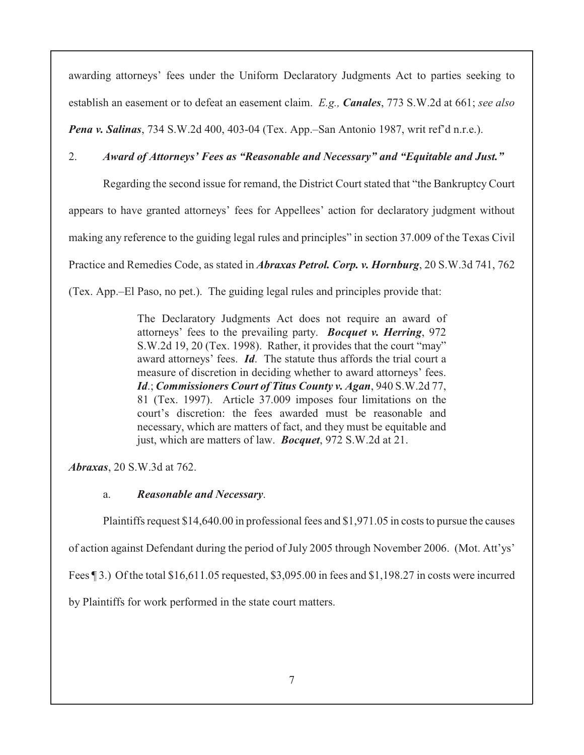awarding attorneys' fees under the Uniform Declaratory Judgments Act to parties seeking to establish an easement or to defeat an easement claim. *E.g., Canales*, 773 S.W.2d at 661; *see also Pena v. Salinas*, 734 S.W.2d 400, 403-04 (Tex. App.–San Antonio 1987, writ ref'd n.r.e.).

### 2. *Award of Attorneys' Fees as "Reasonable and Necessary" and "Equitable and Just."*

Regarding the second issue for remand, the District Court stated that "the Bankruptcy Court appears to have granted attorneys' fees for Appellees' action for declaratory judgment without making any reference to the guiding legal rules and principles" in section 37.009 of the Texas Civil Practice and Remedies Code, as stated in *Abraxas Petrol. Corp. v. Hornburg*, 20 S.W.3d 741, 762 (Tex. App.–El Paso, no pet.). The guiding legal rules and principles provide that:

> The Declaratory Judgments Act does not require an award of attorneys' fees to the prevailing party. *Bocquet v. Herring*, 972 S.W.2d 19, 20 (Tex. 1998). Rather, it provides that the court "may" award attorneys' fees. *Id*. The statute thus affords the trial court a measure of discretion in deciding whether to award attorneys' fees. *Id*.; *Commissioners Court of Titus County v. Agan*, 940 S.W.2d 77, 81 (Tex. 1997). Article 37.009 imposes four limitations on the court's discretion: the fees awarded must be reasonable and necessary, which are matters of fact, and they must be equitable and just, which are matters of law. *Bocquet*, 972 S.W.2d at 21.

*Abraxas*, 20 S.W.3d at 762.

# a. *Reasonable and Necessary*.

Plaintiffs request \$14,640.00 in professional fees and \$1,971.05 in costs to pursue the causes

of action against Defendant during the period of July 2005 through November 2006. (Mot. Att'ys'

Fees ¶ 3.) Of the total \$16,611.05 requested, \$3,095.00 in fees and \$1,198.27 in costs were incurred

by Plaintiffs for work performed in the state court matters.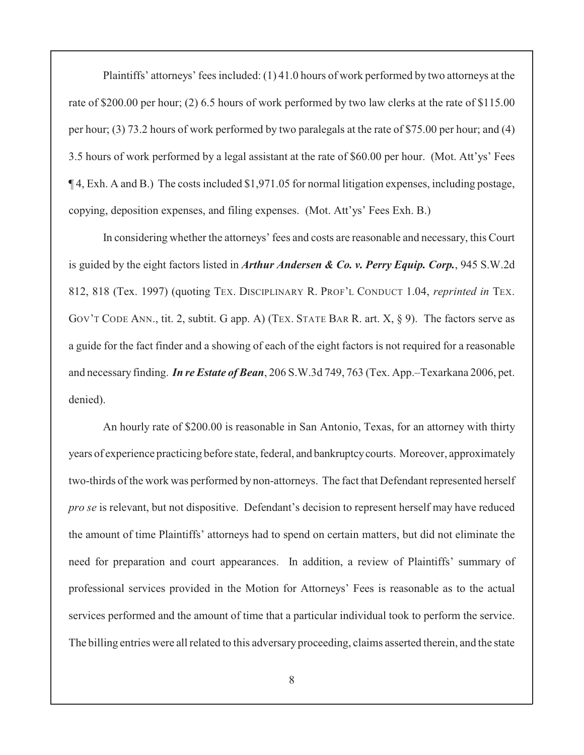Plaintiffs' attorneys' fees included: (1) 41.0 hours of work performed by two attorneys at the rate of \$200.00 per hour; (2) 6.5 hours of work performed by two law clerks at the rate of \$115.00 per hour; (3) 73.2 hours of work performed by two paralegals at the rate of \$75.00 per hour; and (4) 3.5 hours of work performed by a legal assistant at the rate of \$60.00 per hour. (Mot. Att'ys' Fees ¶ 4, Exh. A and B.) The costs included \$1,971.05 for normal litigation expenses, including postage, copying, deposition expenses, and filing expenses. (Mot. Att'ys' Fees Exh. B.)

In considering whether the attorneys' fees and costs are reasonable and necessary, this Court is guided by the eight factors listed in *Arthur Andersen & Co. v. Perry Equip. Corp.*, 945 S.W.2d 812, 818 (Tex. 1997) (quoting TEX. DISCIPLINARY R. PROF'L CONDUCT 1.04, *reprinted in* TEX. GOV'T CODE ANN., tit. 2, subtit. G app. A) (TEX. STATE BAR R. art. X, § 9). The factors serve as a guide for the fact finder and a showing of each of the eight factors is not required for a reasonable and necessary finding. *In re Estate of Bean*, 206 S.W.3d 749, 763 (Tex. App.–Texarkana 2006, pet. denied).

An hourly rate of \$200.00 is reasonable in San Antonio, Texas, for an attorney with thirty years of experience practicing before state, federal, and bankruptcy courts. Moreover, approximately two-thirds of the work was performed by non-attorneys. The fact that Defendant represented herself *pro se* is relevant, but not dispositive. Defendant's decision to represent herself may have reduced the amount of time Plaintiffs' attorneys had to spend on certain matters, but did not eliminate the need for preparation and court appearances. In addition, a review of Plaintiffs' summary of professional services provided in the Motion for Attorneys' Fees is reasonable as to the actual services performed and the amount of time that a particular individual took to perform the service. The billing entries were all related to this adversary proceeding, claims asserted therein, and the state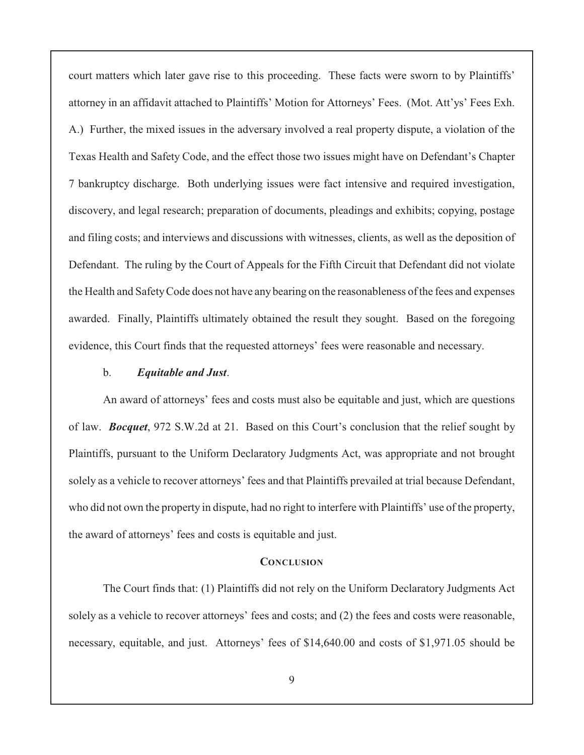court matters which later gave rise to this proceeding. These facts were sworn to by Plaintiffs' attorney in an affidavit attached to Plaintiffs' Motion for Attorneys' Fees. (Mot. Att'ys' Fees Exh. A.) Further, the mixed issues in the adversary involved a real property dispute, a violation of the Texas Health and Safety Code, and the effect those two issues might have on Defendant's Chapter 7 bankruptcy discharge. Both underlying issues were fact intensive and required investigation, discovery, and legal research; preparation of documents, pleadings and exhibits; copying, postage and filing costs; and interviews and discussions with witnesses, clients, as well as the deposition of Defendant. The ruling by the Court of Appeals for the Fifth Circuit that Defendant did not violate the Health and SafetyCode does not have any bearing on the reasonableness ofthe fees and expenses awarded. Finally, Plaintiffs ultimately obtained the result they sought. Based on the foregoing evidence, this Court finds that the requested attorneys' fees were reasonable and necessary.

#### b. *Equitable and Just*.

An award of attorneys' fees and costs must also be equitable and just, which are questions of law. *Bocquet*, 972 S.W.2d at 21. Based on this Court's conclusion that the relief sought by Plaintiffs, pursuant to the Uniform Declaratory Judgments Act, was appropriate and not brought solely as a vehicle to recover attorneys' fees and that Plaintiffs prevailed at trial because Defendant, who did not own the property in dispute, had no right to interfere with Plaintiffs' use of the property, the award of attorneys' fees and costs is equitable and just.

#### **CONCLUSION**

The Court finds that: (1) Plaintiffs did not rely on the Uniform Declaratory Judgments Act solely as a vehicle to recover attorneys' fees and costs; and (2) the fees and costs were reasonable, necessary, equitable, and just. Attorneys' fees of \$14,640.00 and costs of \$1,971.05 should be